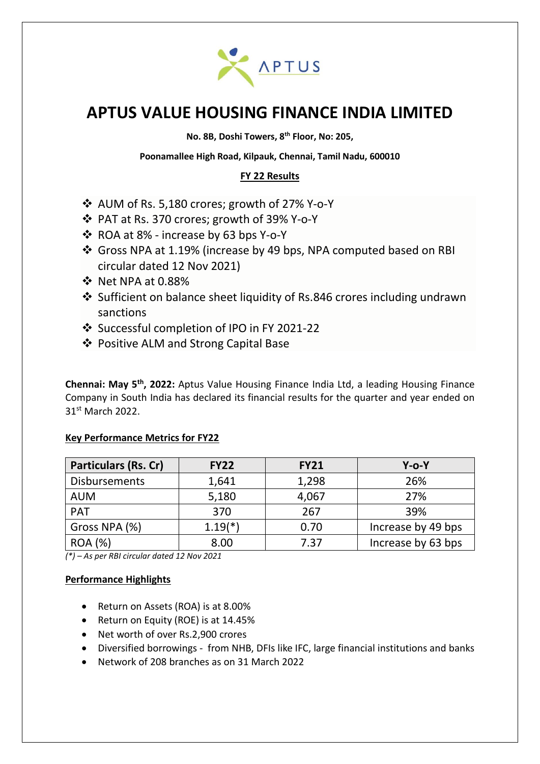

# **APTUS VALUE HOUSING FINANCE INDIA LIMITED**

**No. 8B, Doshi Towers, 8th Floor, No: 205,**

**Poonamallee High Road, Kilpauk, Chennai, Tamil Nadu, 600010**

## **FY 22 Results**

- ❖ AUM of Rs. 5,180 crores; growth of 27% Y-o-Y
- ❖ PAT at Rs. 370 crores; growth of 39% Y-o-Y
- ❖ ROA at 8% increase by 63 bps Y-o-Y
- ❖ Gross NPA at 1.19% (increase by 49 bps, NPA computed based on RBI circular dated 12 Nov 2021)
- ❖ Net NPA at 0.88%
- ❖ Sufficient on balance sheet liquidity of Rs.846 crores including undrawn sanctions
- ❖ Successful completion of IPO in FY 2021-22
- ❖ Positive ALM and Strong Capital Base

**Chennai: May 5th , 2022:** Aptus Value Housing Finance India Ltd, a leading Housing Finance Company in South India has declared its financial results for the quarter and year ended on 31 st March 2022.

## **Key Performance Metrics for FY22**

| <b>Particulars (Rs. Cr)</b> | <b>FY22</b> | <b>FY21</b> | $Y$ -0- $Y$        |
|-----------------------------|-------------|-------------|--------------------|
| <b>Disbursements</b>        | 1,641       | 1,298       | 26%                |
| <b>AUM</b>                  | 5,180       | 4,067       | 27%                |
| <b>PAT</b>                  | 370         | 267         | 39%                |
| Gross NPA (%)               | $1.19(*)$   | 0.70        | Increase by 49 bps |
| <b>ROA</b> (%)              | 8.00        | 7.37        | Increase by 63 bps |

*(\*) – As per RBI circular dated 12 Nov 2021*

## **Performance Highlights**

- Return on Assets (ROA) is at 8.00%
- Return on Equity (ROE) is at 14.45%
- Net worth of over Rs.2,900 crores
- Diversified borrowings from NHB, DFIs like IFC, large financial institutions and banks
- Network of 208 branches as on 31 March 2022